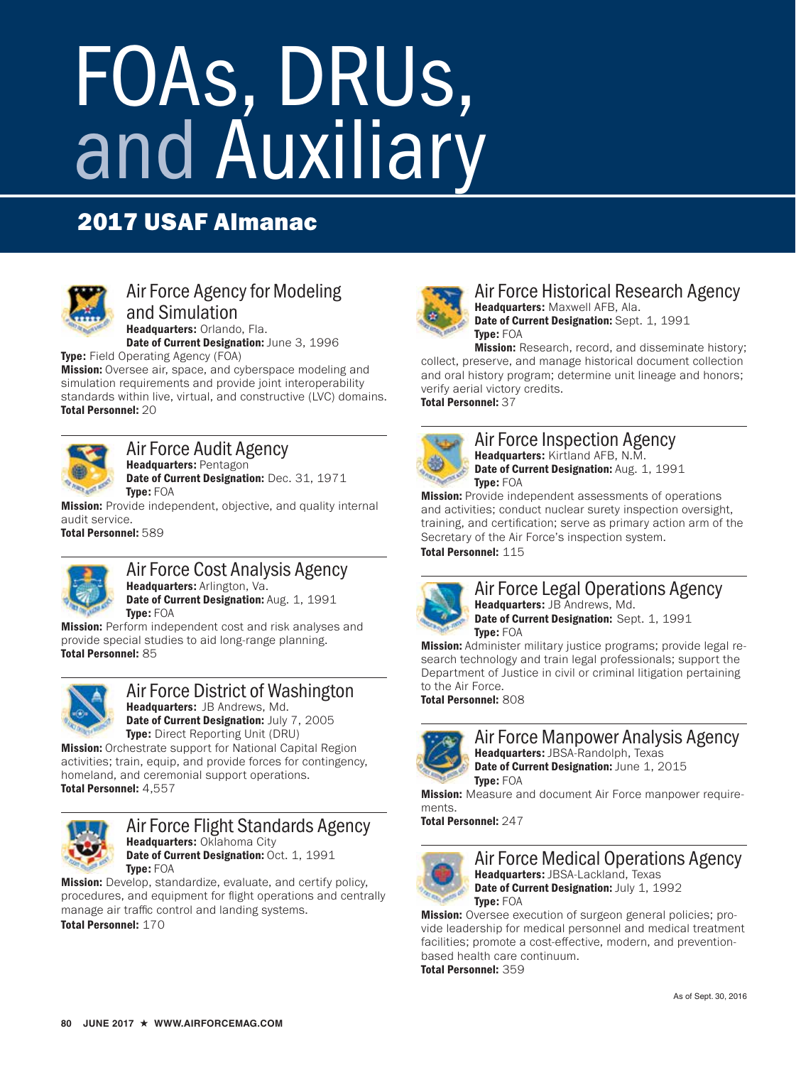# FOAs, DRUs, and Auxiliary

# 2017 USAF Almanac



## Air Force Agency for Modeling and Simulation

Headquarters: Orlando, Fla. Date of Current Designation: June 3, 1996

**Type:** Field Operating Agency (FOA)

**Mission:** Oversee air, space, and cyberspace modeling and simulation requirements and provide joint interoperability standards within live, virtual, and constructive (LVC) domains. Total Personnel: 20



Air Force Audit Agency Headquarters: Pentagon Date of Current Designation: Dec. 31, 1971 Type: FOA

**Mission:** Provide independent, objective, and quality internal audit service.

Total Personnel: 589



Air Force Cost Analysis Agency Headquarters: Arlington, Va. Date of Current Designation: Aug. 1, 1991

Type: FOA **Mission:** Perform independent cost and risk analyses and provide special studies to aid long-range planning. Total Personnel: 85



#### Air Force District of Washington Headquarters: JB Andrews, Md. Date of Current Designation: July 7, 2005 Type: Direct Reporting Unit (DRU)

**Mission:** Orchestrate support for National Capital Region activities; train, equip, and provide forces for contingency, homeland, and ceremonial support operations. Total Personnel: 4,557



#### Air Force Flight Standards Agency Headquarters: Oklahoma City Date of Current Designation: Oct. 1, 1991 Type: FOA

**Mission:** Develop, standardize, evaluate, and certify policy, procedures, and equipment for flight operations and centrally manage air traffic control and landing systems. Total Personnel: 170



#### Air Force Historical Research Agency Headquarters: Maxwell AFB, Ala. Date of Current Designation: Sept. 1, 1991 Type: FOA

**Mission:** Research, record, and disseminate history; collect, preserve, and manage historical document collection and oral history program; determine unit lineage and honors; verify aerial victory credits. Total Personnel: 37



Air Force Inspection Agency Headquarters: Kirtland AFB, N.M. Date of Current Designation: Aug. 1, 1991 Type: FOA

**Mission:** Provide independent assessments of operations and activities; conduct nuclear surety inspection oversight, training, and certification; serve as primary action arm of the Secretary of the Air Force's inspection system. Total Personnel: 115



## Air Force Legal Operations Agency Headquarters: JB Andrews, Md.

Date of Current Designation: Sept. 1, 1991 Type: FOA

**Mission:** Administer military justice programs; provide legal research technology and train legal professionals; support the Department of Justice in civil or criminal litigation pertaining to the Air Force.

Total Personnel: 808

Air Force Manpower Analysis Agency Headquarters: JBSA-Randolph, Texas Date of Current Designation: June 1, 2015 Type: FOA

**Mission:** Measure and document Air Force manpower requirements.

Total Personnel: 247



Air Force Medical Operations Agency Headquarters: JBSA-Lackland, Texas Date of Current Designation: July 1, 1992 Type: FOA

**Mission:** Oversee execution of surgeon general policies; provide leadership for medical personnel and medical treatment facilities; promote a cost-effective, modern, and preventionbased health care continuum. Total Personnel: 359